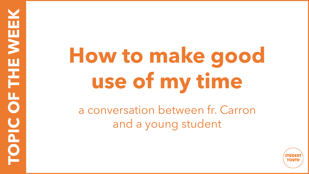## **How to make good use of my time**

**TOPIC OF THE WEEK**

**NOPIC OF THE WEE** 

a conversation between fr. Carron and a young student

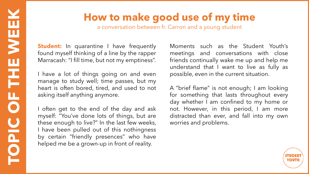## **How to make good use of my time**

a conversation between fr. Carron and a young student

**Student:** In quarantine I have frequently found myself thinking of a line by the rapper Marracash: "I fill time, but not my emptiness".

I have a lot of things going on and even manage to study well; time passes, but my heart is often bored, tired, and used to not asking itself anything anymore.

I often get to the end of the day and ask myself: "You've done lots of things, but are these enough to live?" In the last few weeks, I have been pulled out of this nothingness by certain "friendly presences" who have helped me be a grown-up in front of reality.

Moments such as the Student Youth's meetings and conversations with close friends continually wake me up and help me understand that I want to live as fully as possible, even in the current situation.

A "brief flame" is not enough; I am looking for something that lasts throughout every day whether I am confined to my home or not. However, in this period, I am more distracted than ever, and fall into my own worries and problems.